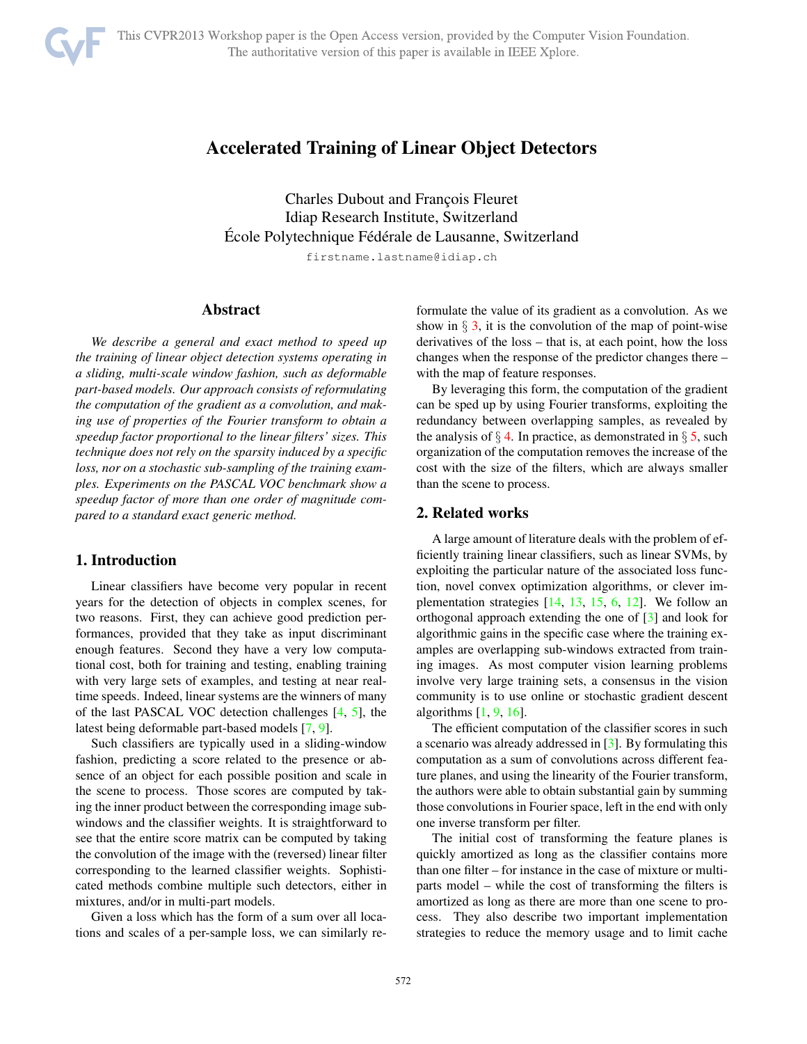

Charles Dubout and François Fleuret Idiap Research Institute, Switzerland Ecole Polytechnique Fédérale de Lausanne, Switzerland

firstname.lastname@idiap.ch

#### Abstract

*We describe a general and exact method to speed up the training of linear object detection systems operating in a sliding, multi-scale window fashion, such as deformable part-based models. Our approach consists of reformulating the computation of the gradient as a convolution, and making use of properties of the Fourier transform to obtain a speedup factor proportional to the linear filters' sizes. This technique does not rely on the sparsity induced by a specific loss, nor on a stochastic sub-sampling of the training examples. Experiments on the PASCAL VOC benchmark show a speedup factor of more than one order of magnitude compared to a standard exact generic method.*

#### 1. Introduction

Linear classifiers have become very popular in recent years for the detection of objects in complex scenes, for two reasons. First, they can achieve good prediction performances, provided that they take as input discriminant enough features. Second they have a very low computational cost, both for training and testing, enabling training with very large sets of examples, and testing at near realtime speeds. Indeed, linear systems are the winners of many of the last PASCAL VOC detection challenges [4, 5], the latest being deformable part-based models [7, 9].

Such classifiers are typically used in a sliding-window fashion, predicting a score related to the presence or absence of an object for each possible position and scale in the scene to process. Those scores are computed by taking the inner product between the corresponding image subwindows and the classifier weights. It is straightforward to see that the entire score matrix can be computed by taking the convolution of the image with the (reversed) linear filter corresponding to the learned classifier weights. Sophisticated methods combine multiple such detectors, either in mixtures, and/or in multi-part models.

Given a loss which has the form of a sum over all locations and scales of a per-sample loss, we can similarly reformulate the value of its gradient as a convolution. As we show in  $\S$  3, it is the convolution of the map of point-wise derivatives of the loss – that is, at each point, how the loss changes when the response of the predictor changes there – with the map of feature responses.

By leveraging this form, the computation of the gradient can be sped up by using Fourier transforms, exploiting the redundancy between overlapping samples, as revealed by the analysis of  $\S$  4. In practice, as demonstrated in  $\S$  5, such organization of the computation removes the increase of the cost with the size of the filters, which are always smaller than the scene to process.

# 2. Related works

A large amount of literature deals with the problem of efficiently training linear classifiers, such as linear SVMs, by exploiting the particular nature of the associated loss function, novel convex optimization algorithms, or clever implementation strategies  $[14, 13, 15, 6, 12]$ . We follow an orthogonal approach extending the one of [3] and look for algorithmic gains in the specific case where the training examples are overlapping sub-windows extracted from training images. As most computer vision learning problems involve very large training sets, a consensus in the vision community is to use online or stochastic gradient descent algorithms  $[1, 9, 16]$ .

The efficient computation of the classifier scores in such a scenario was already addressed in [3]. By formulating this computation as a sum of convolutions across different feature planes, and using the linearity of the Fourier transform, the authors were able to obtain substantial gain by summing those convolutions in Fourier space, left in the end with only one inverse transform per filter.

The initial cost of transforming the feature planes is quickly amortized as long as the classifier contains more than one filter – for instance in the case of mixture or multiparts model – while the cost of transforming the filters is amortized as long as there are more than one scene to process. They also describe two important implementation strategies to reduce the memory usage and to limit cache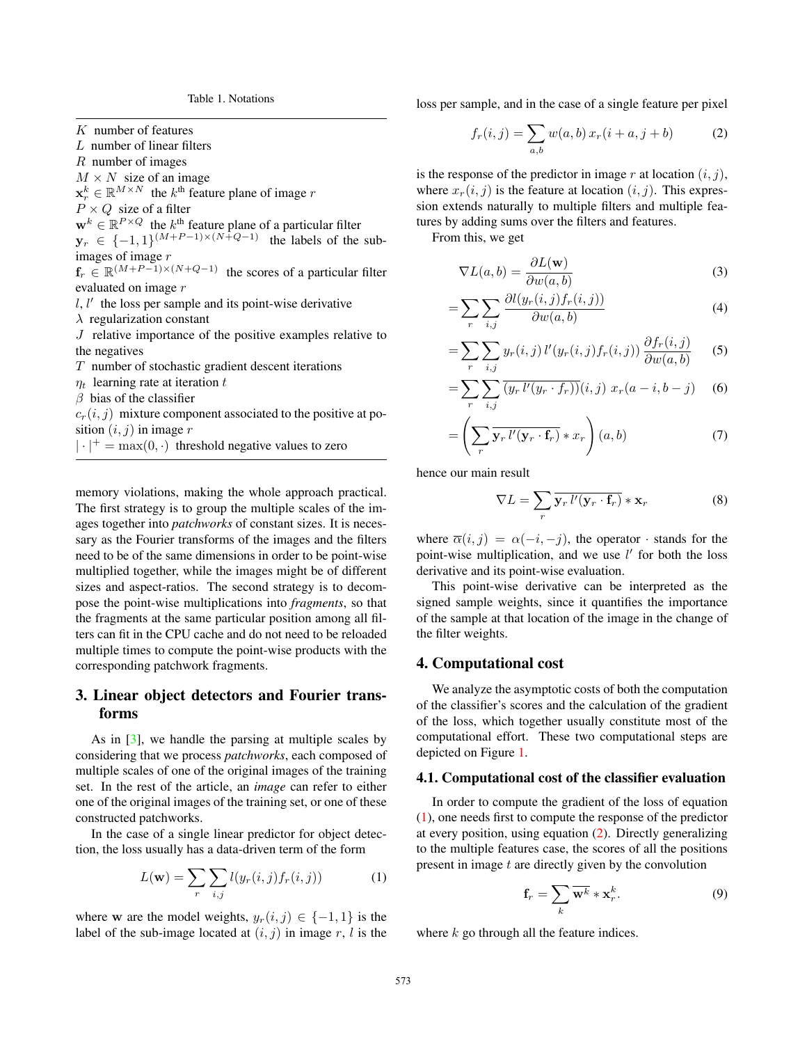Table 1. Notations

K number of features

L number of linear filters

R number of images

 $M \times N$  size of an image

 $\mathbf{x}_r^k \in \mathbb{R}^{M \times N}$  the  $k^{\text{th}}$  feature plane of image r

 $P \times Q$  size of a filter

 $\mathbf{w}^{k} \in \mathbb{R}^{P \times Q}$  the  $k^{\text{th}}$  feature plane of a particular filter

 $y_r \in \{-1, 1\}^{(M+P-1)\times(N+Q-1)}$  the labels of the subimages of image r

 $f_r \in \mathbb{R}^{(M+P-1)\times(N+Q-1)}$  the scores of a particular filter evaluated on image r

 $l, l'$  the loss per sample and its point-wise derivative

 $\lambda$  regularization constant

J relative importance of the positive examples relative to the negatives

 $T$  number of stochastic gradient descent iterations

- $\eta_t$  learning rate at iteration t
- $\beta$  bias of the classifier

 $c_r(i, j)$  mixture component associated to the positive at position  $(i, j)$  in image r

 $|\cdot|^+$  = max $(0, \cdot)$  threshold negative values to zero

memory violations, making the whole approach practical. The first strategy is to group the multiple scales of the images together into *patchworks* of constant sizes. It is necessary as the Fourier transforms of the images and the filters need to be of the same dimensions in order to be point-wise multiplied together, while the images might be of different sizes and aspect-ratios. The second strategy is to decompose the point-wise multiplications into *fragments*, so that the fragments at the same particular position among all filters can fit in the CPU cache and do not need to be reloaded multiple times to compute the point-wise products with the corresponding patchwork fragments.

# 3. Linear object detectors and Fourier transforms

As in [3], we handle the parsing at multiple scales by considering that we process *patchworks*, each composed of multiple scales of one of the original images of the training set. In the rest of the article, an *image* can refer to either one of the original images of the training set, or one of these constructed patchworks.

In the case of a single linear predictor for object detection, the loss usually has a data-driven term of the form

$$
L(\mathbf{w}) = \sum_{r} \sum_{i,j} l(y_r(i,j) f_r(i,j))
$$
 (1)

where w are the model weights,  $y_r(i, j) \in \{-1, 1\}$  is the label of the sub-image located at  $(i, j)$  in image r, l is the loss per sample, and in the case of a single feature per pixel

$$
f_r(i,j) = \sum_{a,b} w(a,b) x_r(i+a, j+b)
$$
 (2)

is the response of the predictor in image r at location  $(i, j)$ , where  $x_r(i, j)$  is the feature at location  $(i, j)$ . This expression extends naturally to multiple filters and multiple features by adding sums over the filters and features.

From this, we get

$$
\nabla L(a,b) = \frac{\partial L(\mathbf{w})}{\partial w(a,b)}\tag{3}
$$

$$
=\sum_{r}\sum_{i,j}\frac{\partial l(y_r(i,j)f_r(i,j))}{\partial w(a,b)}\tag{4}
$$

$$
= \sum_{r} \sum_{i,j} y_r(i,j) l'(y_r(i,j) f_r(i,j)) \frac{\partial f_r(i,j)}{\partial w(a,b)} \qquad (5)
$$

$$
= \sum_{r} \sum_{i,j} \overline{(y_r l'(y_r \cdot f_r))}(i,j) \ x_r(a-i,b-j) \tag{6}
$$

$$
= \left(\sum_{r} \overline{\mathbf{y}_{r} \, l'(\mathbf{y}_{r} \cdot \mathbf{f}_{r})} * x_{r}\right) (a, b) \tag{7}
$$

hence our main result

$$
\nabla L = \sum_{r} \overline{\mathbf{y}_{r} \, l'(\mathbf{y}_{r} \cdot \mathbf{f}_{r})} * \mathbf{x}_{r} \tag{8}
$$

where  $\overline{\alpha}(i, j) = \alpha(-i, -j)$ , the operator · stands for the point-wise multiplication, and we use  $l'$  for both the loss derivative and its point-wise evaluation.

This point-wise derivative can be interpreted as the signed sample weights, since it quantifies the importance of the sample at that location of the image in the change of the filter weights.

#### 4. Computational cost

We analyze the asymptotic costs of both the computation of the classifier's scores and the calculation of the gradient of the loss, which together usually constitute most of the computational effort. These two computational steps are depicted on Figure 1.

#### 4.1. Computational cost of the classifier evaluation

In order to compute the gradient of the loss of equation (1), one needs first to compute the response of the predictor at every position, using equation (2). Directly generalizing to the multiple features case, the scores of all the positions present in image  $t$  are directly given by the convolution

$$
\mathbf{f}_r = \sum_k \overline{\mathbf{w}^k} * \mathbf{x}_r^k.
$$
 (9)

where  $k$  go through all the feature indices.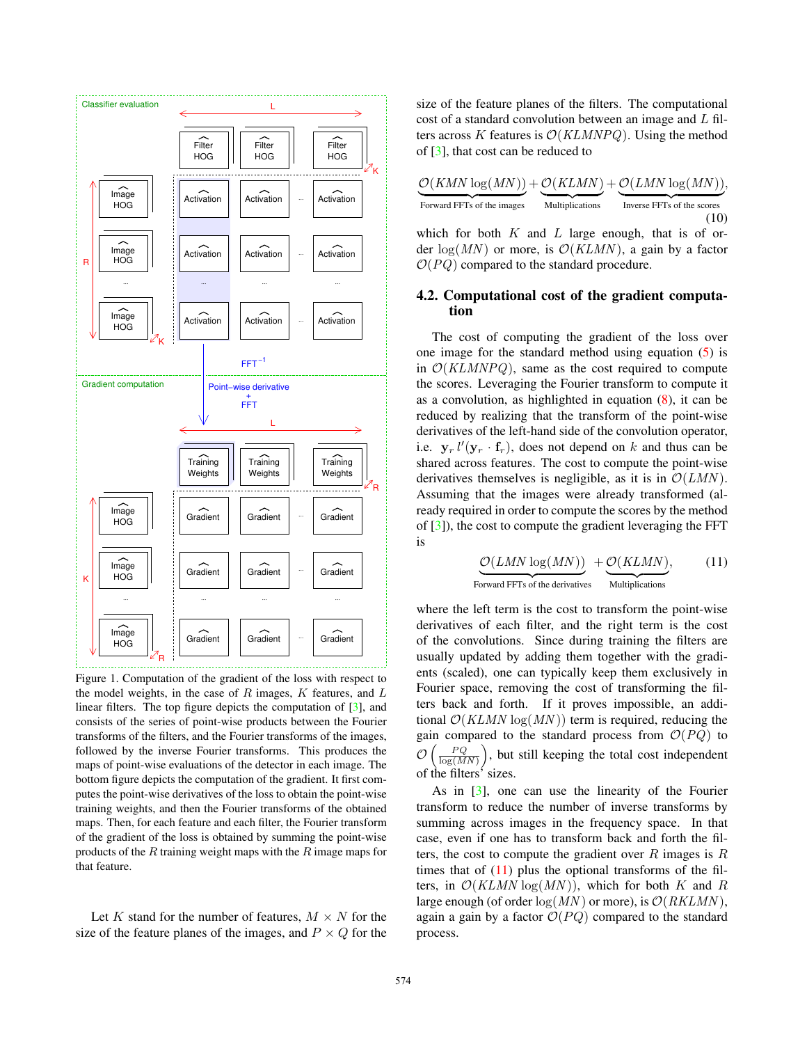

Figure 1. Computation of the gradient of the loss with respect to the model weights, in the case of  $R$  images,  $K$  features, and  $L$ linear filters. The top figure depicts the computation of [3], and consists of the series of point-wise products between the Fourier transforms of the filters, and the Fourier transforms of the images, followed by the inverse Fourier transforms. This produces the maps of point-wise evaluations of the detector in each image. The bottom figure depicts the computation of the gradient. It first computes the point-wise derivatives of the loss to obtain the point-wise training weights, and then the Fourier transforms of the obtained maps. Then, for each feature and each filter, the Fourier transform of the gradient of the loss is obtained by summing the point-wise products of the  $R$  training weight maps with the  $R$  image maps for that feature.

Let K stand for the number of features,  $M \times N$  for the size of the feature planes of the images, and  $P \times Q$  for the size of the feature planes of the filters. The computational cost of a standard convolution between an image and L filters across K features is  $\mathcal{O}(KLMNPQ)$ . Using the method of [3], that cost can be reduced to

| $\mathcal{O}(KMN \log(MN)) + \mathcal{O}(KLMN) + \mathcal{O}(LMN \log(MN)),$ |                        |                            |
|------------------------------------------------------------------------------|------------------------|----------------------------|
| Forward FFTs of the images                                                   | <b>Multiplications</b> | Inverse FFTs of the scores |
|                                                                              |                        | (10)                       |

which for both  $K$  and  $L$  large enough, that is of order  $log(MN)$  or more, is  $\mathcal{O}(KLMN)$ , a gain by a factor  $\mathcal{O}(PQ)$  compared to the standard procedure.

#### 4.2. Computational cost of the gradient computation

The cost of computing the gradient of the loss over one image for the standard method using equation (5) is in  $\mathcal{O}(KLMNPQ)$ , same as the cost required to compute the scores. Leveraging the Fourier transform to compute it as a convolution, as highlighted in equation  $(8)$ , it can be reduced by realizing that the transform of the point-wise derivatives of the left-hand side of the convolution operator, i.e.  $\mathbf{y}_r l'(\mathbf{y}_r \cdot \mathbf{f}_r)$ , does not depend on k and thus can be shared across features. The cost to compute the point-wise derivatives themselves is negligible, as it is in  $\mathcal{O}(LMN)$ . Assuming that the images were already transformed (already required in order to compute the scores by the method of [3]), the cost to compute the gradient leveraging the FFT is

$$
\underbrace{\mathcal{O}(LMN \log(MN))}_{\text{Forward FFTs of the derivatives}} + \underbrace{\mathcal{O}(KLMN)}_{\text{Multiplications}},
$$
 (11)

where the left term is the cost to transform the point-wise derivatives of each filter, and the right term is the cost of the convolutions. Since during training the filters are usually updated by adding them together with the gradients (scaled), one can typically keep them exclusively in Fourier space, removing the cost of transforming the filters back and forth. If it proves impossible, an additional  $\mathcal{O}(KLMN \log(MN))$  term is required, reducing the gain compared to the standard process from  $\mathcal{O}(PQ)$  to  $\mathcal{O}\left(\frac{PQ}{\log(MN)}\right)$ , but still keeping the total cost independent of the filters' sizes.

As in  $\lceil 3 \rceil$ , one can use the linearity of the Fourier transform to reduce the number of inverse transforms by summing across images in the frequency space. In that case, even if one has to transform back and forth the filters, the cost to compute the gradient over  $R$  images is  $R$ times that of  $(11)$  plus the optional transforms of the filters, in  $\mathcal{O}(KLMN \log(MN))$ , which for both K and R large enough (of order  $log(MN)$  or more), is  $\mathcal{O}(RKLMN)$ , again a gain by a factor  $\mathcal{O}(PQ)$  compared to the standard process.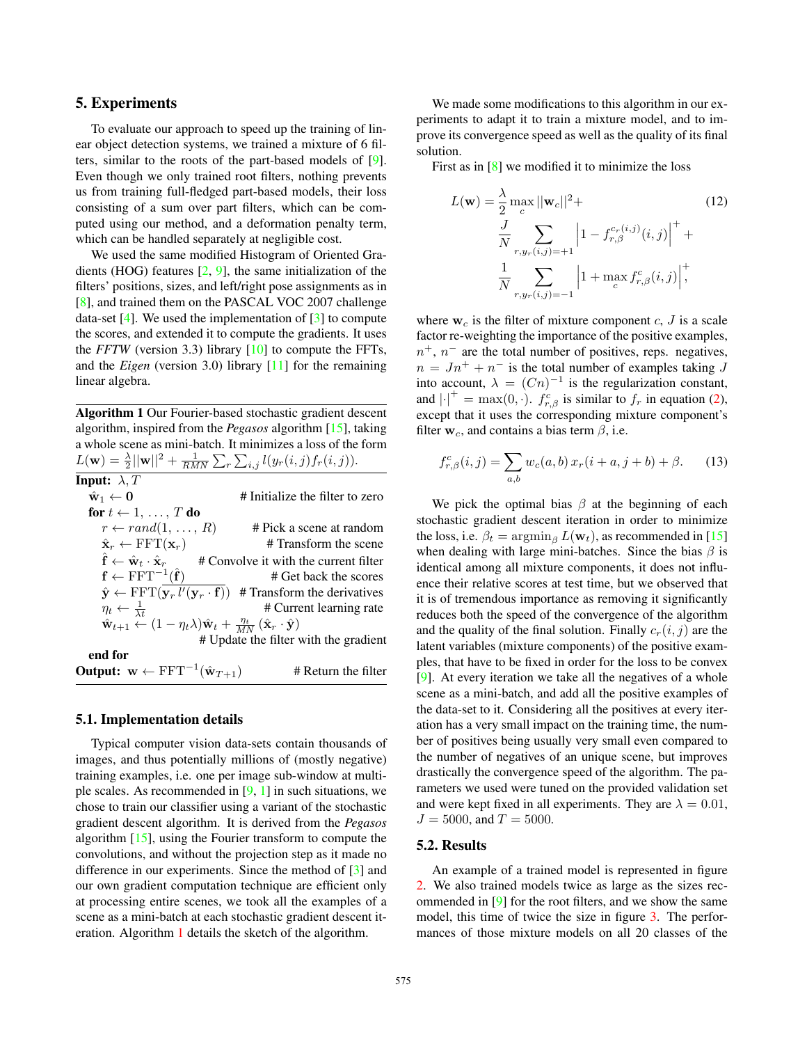### 5. Experiments

To evaluate our approach to speed up the training of linear object detection systems, we trained a mixture of 6 filters, similar to the roots of the part-based models of [9]. Even though we only trained root filters, nothing prevents us from training full-fledged part-based models, their loss consisting of a sum over part filters, which can be computed using our method, and a deformation penalty term, which can be handled separately at negligible cost.

We used the same modified Histogram of Oriented Gradients (HOG) features [2, 9], the same initialization of the filters' positions, sizes, and left/right pose assignments as in [8], and trained them on the PASCAL VOC 2007 challenge data-set  $[4]$ . We used the implementation of  $[3]$  to compute the scores, and extended it to compute the gradients. It uses the *FFTW* (version 3.3) library  $[10]$  to compute the FFTs, and the *Eigen* (version 3.0) library [11] for the remaining linear algebra.

Algorithm 1 Our Fourier-based stochastic gradient descent algorithm, inspired from the *Pegasos* algorithm [15], taking a whole scene as mini-batch. It minimizes a loss of the form  $L(\mathbf{w}) = \frac{\lambda}{2} ||\mathbf{w}||^2 + \frac{1}{RMN} \sum_{r} \sum_{i,j} l(y_r(i,j) f_r(i,j)).$ 

| <b>Input:</b> $\lambda$ , T                                                                                                                 |                                                                                                                         |
|---------------------------------------------------------------------------------------------------------------------------------------------|-------------------------------------------------------------------------------------------------------------------------|
| $\hat{\mathbf{w}}_1 \leftarrow \mathbf{0}$                                                                                                  | # Initialize the filter to zero                                                                                         |
| for $t \leftarrow 1, \ldots, T$ do                                                                                                          |                                                                                                                         |
| $r \leftarrow rand(1, \ldots, R)$                                                                                                           | # Pick a scene at random                                                                                                |
| $\hat{\mathbf{x}}_r \leftarrow \text{FFT}(\mathbf{x}_r)$                                                                                    | # Transform the scene                                                                                                   |
| $\hat{\mathbf{f}} \leftarrow \hat{\mathbf{w}}_t \cdot \hat{\mathbf{x}}_r$                                                                   | # Convolve it with the current filter                                                                                   |
| $\mathbf{f} \leftarrow \text{FFT}^{-1}(\hat{\mathbf{f}})$                                                                                   | # Get back the scores                                                                                                   |
|                                                                                                                                             | $\hat{\mathbf{y}} \leftarrow \text{FFT}(\mathbf{y}_r \, l'(\mathbf{y}_r \cdot \mathbf{f}))$ # Transform the derivatives |
| $\eta_t \leftarrow \frac{1}{\lambda_t}$                                                                                                     | # Current learning rate                                                                                                 |
| $\hat{\mathbf{w}}_{t+1} \leftarrow (1 - \eta_t \lambda) \hat{\mathbf{w}}_t + \frac{\eta_t}{MN} (\hat{\mathbf{x}}_r \cdot \hat{\mathbf{y}})$ |                                                                                                                         |
|                                                                                                                                             | # Update the filter with the gradient                                                                                   |
| end for                                                                                                                                     |                                                                                                                         |
| <b>Output:</b> $w \leftarrow FFT^{-1}(\hat{w}_{T+1})$                                                                                       | # Return the filter                                                                                                     |

#### 5.1. Implementation details

Typical computer vision data-sets contain thousands of images, and thus potentially millions of (mostly negative) training examples, i.e. one per image sub-window at multiple scales. As recommended in  $[9, 1]$  in such situations, we chose to train our classifier using a variant of the stochastic gradient descent algorithm. It is derived from the *Pegasos* algorithm [15], using the Fourier transform to compute the convolutions, and without the projection step as it made no difference in our experiments. Since the method of [3] and our own gradient computation technique are efficient only at processing entire scenes, we took all the examples of a scene as a mini-batch at each stochastic gradient descent iteration. Algorithm 1 details the sketch of the algorithm.

We made some modifications to this algorithm in our experiments to adapt it to train a mixture model, and to improve its convergence speed as well as the quality of its final solution.

First as in [8] we modified it to minimize the loss

$$
L(\mathbf{w}) = \frac{\lambda}{2} \max_{c} ||\mathbf{w}_{c}||^{2} +
$$
  
\n
$$
\frac{J}{N} \sum_{r, y_{r}(i,j)=+1} \left| 1 - f_{r,\beta}^{c_{r}(i,j)}(i,j) \right|^{+} +
$$
  
\n
$$
\frac{1}{N} \sum_{r, y_{r}(i,j)=-1} \left| 1 + \max_{c} f_{r,\beta}^{c}(i,j) \right|^{+},
$$
\n(12)

where  $w_c$  is the filter of mixture component c, J is a scale factor re-weighting the importance of the positive examples,  $n^{+}$ ,  $n^{-}$  are the total number of positives, reps. negatives,  $n = Jn^{+} + n^{-}$  is the total number of examples taking J into account,  $\lambda = (Cn)^{-1}$  is the regularization constant, and  $|\cdot|^+ = \max(0, \cdot)$ .  $f_{r, \beta}^c$  is similar to  $f_r$  in equation (2), except that it uses the corresponding mixture component's filter  $w_c$ , and contains a bias term  $\beta$ , i.e.

$$
f_{r,\beta}^c(i,j) = \sum_{a,b} w_c(a,b) x_r(i+a,j+b) + \beta.
$$
 (13)

We pick the optimal bias  $\beta$  at the beginning of each stochastic gradient descent iteration in order to minimize the loss, i.e.  $\beta_t = \operatorname{argmin}_{\beta} L(\mathbf{w}_t)$ , as recommended in [15] when dealing with large mini-batches. Since the bias  $\beta$  is identical among all mixture components, it does not influence their relative scores at test time, but we observed that it is of tremendous importance as removing it significantly reduces both the speed of the convergence of the algorithm and the quality of the final solution. Finally  $c_r(i, j)$  are the latent variables (mixture components) of the positive examples, that have to be fixed in order for the loss to be convex [9]. At every iteration we take all the negatives of a whole scene as a mini-batch, and add all the positive examples of the data-set to it. Considering all the positives at every iteration has a very small impact on the training time, the number of positives being usually very small even compared to the number of negatives of an unique scene, but improves drastically the convergence speed of the algorithm. The parameters we used were tuned on the provided validation set and were kept fixed in all experiments. They are  $\lambda = 0.01$ ,  $J = 5000$ , and  $T = 5000$ .

#### 5.2. Results

An example of a trained model is represented in figure 2. We also trained models twice as large as the sizes recommended in [9] for the root filters, and we show the same model, this time of twice the size in figure 3. The performances of those mixture models on all 20 classes of the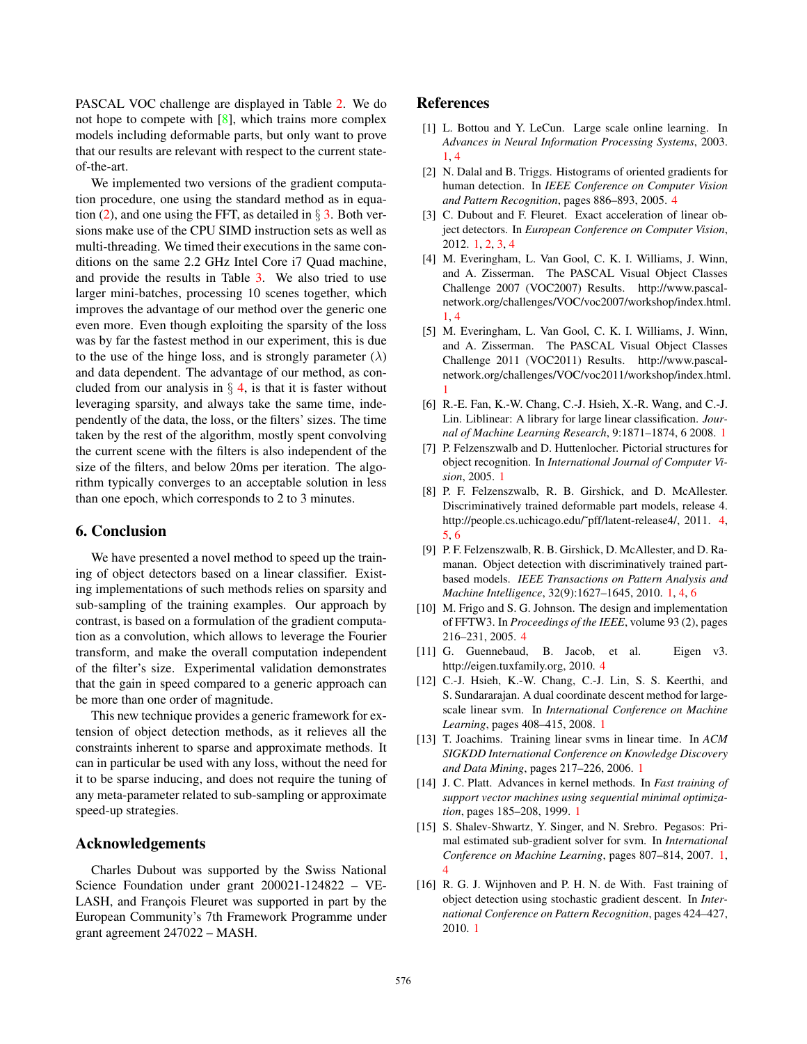PASCAL VOC challenge are displayed in Table 2. We do not hope to compete with  $[8]$ , which trains more complex models including deformable parts, but only want to prove that our results are relevant with respect to the current stateof-the-art.

We implemented two versions of the gradient computation procedure, one using the standard method as in equation (2), and one using the FFT, as detailed in  $\S$  3. Both versions make use of the CPU SIMD instruction sets as well as multi-threading. We timed their executions in the same conditions on the same 2.2 GHz Intel Core i7 Quad machine, and provide the results in Table 3. We also tried to use larger mini-batches, processing 10 scenes together, which improves the advantage of our method over the generic one even more. Even though exploiting the sparsity of the loss was by far the fastest method in our experiment, this is due to the use of the hinge loss, and is strongly parameter  $(\lambda)$ and data dependent. The advantage of our method, as concluded from our analysis in  $\S$  4, is that it is faster without leveraging sparsity, and always take the same time, independently of the data, the loss, or the filters' sizes. The time taken by the rest of the algorithm, mostly spent convolving the current scene with the filters is also independent of the size of the filters, and below 20ms per iteration. The algorithm typically converges to an acceptable solution in less than one epoch, which corresponds to 2 to 3 minutes.

# 6. Conclusion

We have presented a novel method to speed up the training of object detectors based on a linear classifier. Existing implementations of such methods relies on sparsity and sub-sampling of the training examples. Our approach by contrast, is based on a formulation of the gradient computation as a convolution, which allows to leverage the Fourier transform, and make the overall computation independent of the filter's size. Experimental validation demonstrates that the gain in speed compared to a generic approach can be more than one order of magnitude.

This new technique provides a generic framework for extension of object detection methods, as it relieves all the constraints inherent to sparse and approximate methods. It can in particular be used with any loss, without the need for it to be sparse inducing, and does not require the tuning of any meta-parameter related to sub-sampling or approximate speed-up strategies.

# Acknowledgements

Charles Dubout was supported by the Swiss National Science Foundation under grant 200021-124822 – VE-LASH, and François Fleuret was supported in part by the European Community's 7th Framework Programme under grant agreement 247022 – MASH.

### References

- [1] L. Bottou and Y. LeCun. Large scale online learning. In *Advances in Neural Information Processing Systems*, 2003. 1, 4
- [2] N. Dalal and B. Triggs. Histograms of oriented gradients for human detection. In *IEEE Conference on Computer Vision and Pattern Recognition*, pages 886–893, 2005. 4
- [3] C. Dubout and F. Fleuret. Exact acceleration of linear object detectors. In *European Conference on Computer Vision*, 2012. 1, 2, 3, 4
- [4] M. Everingham, L. Van Gool, C. K. I. Williams, J. Winn, and A. Zisserman. The PASCAL Visual Object Classes Challenge 2007 (VOC2007) Results. http://www.pascalnetwork.org/challenges/VOC/voc2007/workshop/index.html. 1, 4
- [5] M. Everingham, L. Van Gool, C. K. I. Williams, J. Winn, and A. Zisserman. The PASCAL Visual Object Classes Challenge 2011 (VOC2011) Results. http://www.pascalnetwork.org/challenges/VOC/voc2011/workshop/index.html. 1
- [6] R.-E. Fan, K.-W. Chang, C.-J. Hsieh, X.-R. Wang, and C.-J. Lin. Liblinear: A library for large linear classification. *Journal of Machine Learning Research*, 9:1871–1874, 6 2008. 1
- [7] P. Felzenszwalb and D. Huttenlocher. Pictorial structures for object recognition. In *International Journal of Computer Vision*, 2005. 1
- [8] P. F. Felzenszwalb, R. B. Girshick, and D. McAllester. Discriminatively trained deformable part models, release 4. http://people.cs.uchicago.edu/~pff/latent-release4/, 2011. 4, 5, 6
- [9] P. F. Felzenszwalb, R. B. Girshick, D. McAllester, and D. Ramanan. Object detection with discriminatively trained partbased models. *IEEE Transactions on Pattern Analysis and Machine Intelligence*, 32(9):1627–1645, 2010. 1, 4, 6
- [10] M. Frigo and S. G. Johnson. The design and implementation of FFTW3. In *Proceedings of the IEEE*, volume 93 (2), pages 216–231, 2005. 4
- [11] G. Guennebaud, B. Jacob, et al. Eigen v3. http://eigen.tuxfamily.org, 2010. 4
- [12] C.-J. Hsieh, K.-W. Chang, C.-J. Lin, S. S. Keerthi, and S. Sundararajan. A dual coordinate descent method for largescale linear svm. In *International Conference on Machine Learning*, pages 408–415, 2008. 1
- [13] T. Joachims. Training linear svms in linear time. In *ACM SIGKDD International Conference on Knowledge Discovery and Data Mining*, pages 217–226, 2006. 1
- [14] J. C. Platt. Advances in kernel methods. In *Fast training of support vector machines using sequential minimal optimization*, pages 185–208, 1999. 1
- [15] S. Shalev-Shwartz, Y. Singer, and N. Srebro. Pegasos: Primal estimated sub-gradient solver for svm. In *International Conference on Machine Learning*, pages 807–814, 2007. 1, 4
- [16] R. G. J. Wijnhoven and P. H. N. de With. Fast training of object detection using stochastic gradient descent. In *International Conference on Pattern Recognition*, pages 424–427, 2010. 1